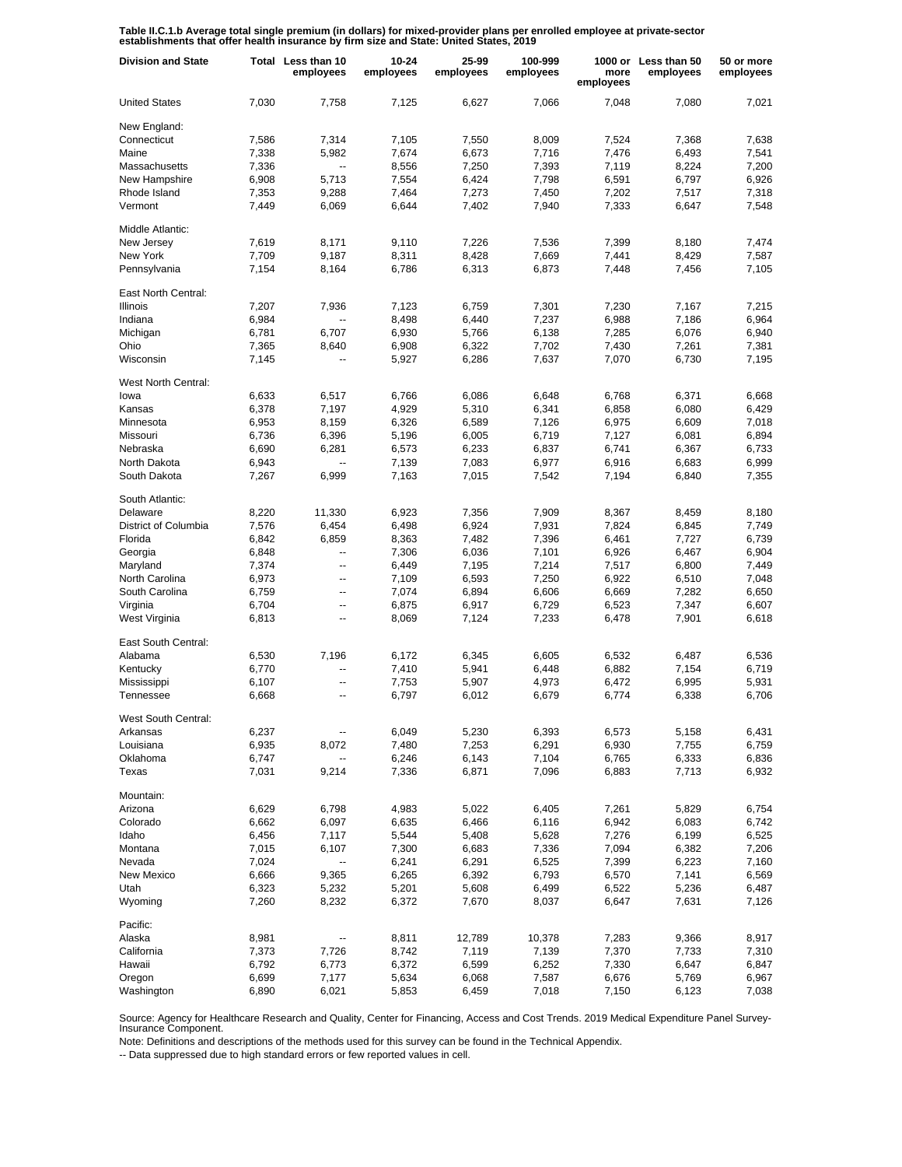**Table II.C.1.b Average total single premium (in dollars) for mixed-provider plans per enrolled employee at private-sector establishments that offer health insurance by firm size and State: United States, 2019**

| <b>Division and State</b> |       | Total Less than 10<br>employees | 10-24<br>employees | 25-99<br>employees | 100-999<br>employees | more<br>employees | 1000 or Less than 50<br>employees | 50 or more<br>employees |
|---------------------------|-------|---------------------------------|--------------------|--------------------|----------------------|-------------------|-----------------------------------|-------------------------|
| <b>United States</b>      | 7,030 | 7,758                           | 7,125              | 6,627              | 7,066                | 7,048             | 7,080                             | 7,021                   |
| New England:              |       |                                 |                    |                    |                      |                   |                                   |                         |
| Connecticut               | 7,586 | 7,314                           | 7,105              | 7.550              | 8,009                | 7,524             | 7,368                             | 7,638                   |
| Maine                     | 7,338 | 5,982                           | 7,674              | 6,673              | 7,716                | 7,476             | 6,493                             | 7,541                   |
| Massachusetts             | 7,336 | $\overline{\phantom{a}}$        | 8,556              | 7,250              | 7,393                | 7,119             | 8,224                             | 7,200                   |
| New Hampshire             | 6,908 | 5,713                           | 7,554              | 6,424              | 7,798                | 6,591             | 6,797                             | 6,926                   |
| Rhode Island              | 7,353 | 9,288                           | 7,464              | 7,273              | 7,450                | 7,202             | 7,517                             | 7,318                   |
| Vermont                   | 7,449 | 6,069                           | 6,644              | 7,402              | 7,940                | 7,333             | 6,647                             | 7,548                   |
| Middle Atlantic:          |       |                                 |                    |                    |                      |                   |                                   |                         |
| New Jersey                | 7,619 | 8,171                           | 9,110              | 7,226              | 7,536                | 7,399             | 8,180                             | 7.474                   |
| New York                  | 7,709 | 9,187                           | 8,311              | 8,428              | 7,669                | 7,441             | 8,429                             | 7,587                   |
|                           |       |                                 |                    |                    |                      |                   |                                   |                         |
| Pennsylvania              | 7,154 | 8,164                           | 6,786              | 6,313              | 6,873                | 7,448             | 7,456                             | 7,105                   |
| East North Central:       |       |                                 |                    |                    |                      |                   |                                   |                         |
| Illinois                  | 7,207 | 7,936                           | 7,123              | 6,759              | 7,301                | 7,230             | 7,167                             | 7,215                   |
| Indiana                   | 6,984 | $\overline{\phantom{a}}$        | 8,498              | 6,440              | 7,237                | 6,988             | 7,186                             | 6,964                   |
| Michigan                  | 6,781 | 6,707                           | 6,930              | 5,766              | 6,138                | 7,285             | 6,076                             | 6,940                   |
| Ohio                      | 7,365 | 8,640                           | 6,908              | 6,322              | 7,702                | 7,430             | 7,261                             | 7,381                   |
| Wisconsin                 | 7,145 | $\overline{\phantom{a}}$        | 5,927              | 6,286              | 7,637                | 7,070             | 6,730                             | 7,195                   |
|                           |       |                                 |                    |                    |                      |                   |                                   |                         |
| West North Central:       |       |                                 |                    |                    |                      |                   |                                   |                         |
| lowa                      | 6,633 | 6,517                           | 6,766              | 6,086              | 6.648                | 6,768             | 6,371                             | 6,668                   |
| Kansas                    | 6,378 | 7,197                           | 4,929              | 5,310              | 6,341                | 6,858             | 6,080                             | 6,429                   |
| Minnesota                 | 6,953 | 8,159                           | 6,326              | 6,589              | 7,126                | 6,975             | 6,609                             | 7,018                   |
| Missouri                  | 6,736 | 6,396                           | 5,196              | 6,005              | 6,719                | 7,127             | 6,081                             | 6,894                   |
| Nebraska                  | 6,690 | 6,281                           | 6,573              | 6,233              | 6,837                | 6,741             | 6,367                             | 6,733                   |
| North Dakota              | 6,943 | Ξ.                              | 7,139              | 7,083              | 6,977                | 6,916             | 6,683                             | 6,999                   |
| South Dakota              | 7,267 | 6,999                           | 7,163              | 7,015              | 7,542                | 7,194             | 6,840                             | 7,355                   |
|                           |       |                                 |                    |                    |                      |                   |                                   |                         |
| South Atlantic:           |       |                                 | 6,923              |                    |                      |                   |                                   |                         |
| Delaware                  | 8,220 | 11,330                          |                    | 7,356              | 7,909                | 8,367             | 8,459                             | 8,180                   |
| District of Columbia      | 7,576 | 6,454                           | 6,498              | 6,924              | 7,931                | 7,824             | 6,845                             | 7,749                   |
| Florida                   | 6,842 | 6,859                           | 8,363              | 7,482              | 7,396                | 6,461             | 7,727                             | 6,739                   |
| Georgia                   | 6,848 | --                              | 7,306              | 6,036              | 7,101                | 6,926             | 6,467                             | 6,904                   |
| Maryland                  | 7,374 | $\overline{\phantom{a}}$        | 6,449              | 7,195              | 7,214                | 7,517             | 6,800                             | 7,449                   |
| North Carolina            | 6,973 | --                              | 7,109              | 6,593              | 7,250                | 6,922             | 6,510                             | 7,048                   |
| South Carolina            | 6,759 | $\overline{\phantom{a}}$        | 7,074              | 6,894              | 6,606                | 6,669             | 7,282                             | 6,650                   |
| Virginia                  | 6,704 | --                              | 6,875              | 6,917              | 6,729                | 6,523             | 7,347                             | 6,607                   |
| West Virginia             | 6,813 | --                              | 8,069              | 7,124              | 7,233                | 6,478             | 7,901                             | 6,618                   |
| East South Central:       |       |                                 |                    |                    |                      |                   |                                   |                         |
| Alabama                   | 6,530 | 7,196                           | 6,172              | 6,345              | 6,605                | 6,532             | 6,487                             | 6,536                   |
| Kentucky                  | 6,770 | $\overline{\phantom{a}}$        | 7,410              | 5,941              | 6,448                | 6,882             | 7,154                             | 6,719                   |
| Mississippi               | 6,107 | $\overline{\phantom{a}}$        | 7,753              | 5,907              | 4,973                | 6,472             | 6,995                             | 5,931                   |
| Tennessee                 | 6,668 | $\overline{a}$                  | 6,797              | 6,012              | 6,679                | 6,774             | 6,338                             | 6,706                   |
|                           |       |                                 |                    |                    |                      |                   |                                   |                         |
| West South Central:       |       |                                 |                    |                    |                      |                   |                                   |                         |
| Arkansas                  | 6,237 |                                 | 6,049              | 5,230              | 6,393                | 6,573             | 5,158                             | 6,431                   |
| Louisiana                 | 6,935 | 8,072                           | 7,480              | 7,253              | 6,291                | 6,930             | 7,755                             | 6,759                   |
| Oklahoma                  | 6,747 | $\overline{\phantom{a}}$        | 6,246              | 6,143              | 7,104                | 6,765             | 6,333                             | 6,836                   |
| Texas                     | 7,031 | 9,214                           | 7,336              | 6,871              | 7,096                | 6,883             | 7,713                             | 6,932                   |
| Mountain:                 |       |                                 |                    |                    |                      |                   |                                   |                         |
| Arizona                   | 6,629 | 6,798                           | 4,983              | 5,022              | 6,405                | 7,261             | 5,829                             | 6,754                   |
| Colorado                  | 6,662 | 6,097                           | 6,635              | 6,466              | 6,116                | 6,942             | 6,083                             | 6,742                   |
|                           |       |                                 |                    |                    |                      |                   |                                   |                         |
| Idaho                     | 6,456 | 7,117                           | 5,544              | 5,408              | 5,628                | 7,276             | 6,199                             | 6,525                   |
| Montana                   | 7,015 | 6,107                           | 7,300              | 6,683              | 7,336                | 7,094             | 6,382                             | 7,206                   |
| Nevada                    | 7,024 | --                              | 6,241              | 6,291              | 6,525                | 7,399             | 6,223                             | 7,160                   |
| New Mexico                | 6,666 | 9,365                           | 6,265              | 6,392              | 6,793                | 6,570             | 7,141                             | 6,569                   |
| Utah                      | 6,323 | 5,232                           | 5,201              | 5,608              | 6,499                | 6,522             | 5,236                             | 6,487                   |
| Wyoming                   | 7,260 | 8,232                           | 6,372              | 7,670              | 8,037                | 6,647             | 7,631                             | 7,126                   |
| Pacific:                  |       |                                 |                    |                    |                      |                   |                                   |                         |
| Alaska                    | 8,981 |                                 | 8,811              | 12,789             | 10,378               | 7,283             | 9,366                             | 8,917                   |
| California                | 7,373 | 7,726                           | 8,742              | 7,119              | 7,139                | 7,370             | 7,733                             | 7,310                   |
| Hawaii                    | 6,792 | 6,773                           | 6,372              | 6,599              | 6,252                | 7,330             | 6,647                             | 6,847                   |
| Oregon                    | 6,699 | 7,177                           | 5,634              | 6,068              | 7,587                | 6,676             | 5,769                             |                         |
|                           |       |                                 |                    |                    |                      |                   |                                   | 6,967                   |
| Washington                | 6,890 | 6,021                           | 5,853              | 6,459              | 7,018                | 7,150             | 6,123                             | 7,038                   |

Source: Agency for Healthcare Research and Quality, Center for Financing, Access and Cost Trends. 2019 Medical Expenditure Panel Survey-Insurance Component.

Note: Definitions and descriptions of the methods used for this survey can be found in the Technical Appendix.

-- Data suppressed due to high standard errors or few reported values in cell.